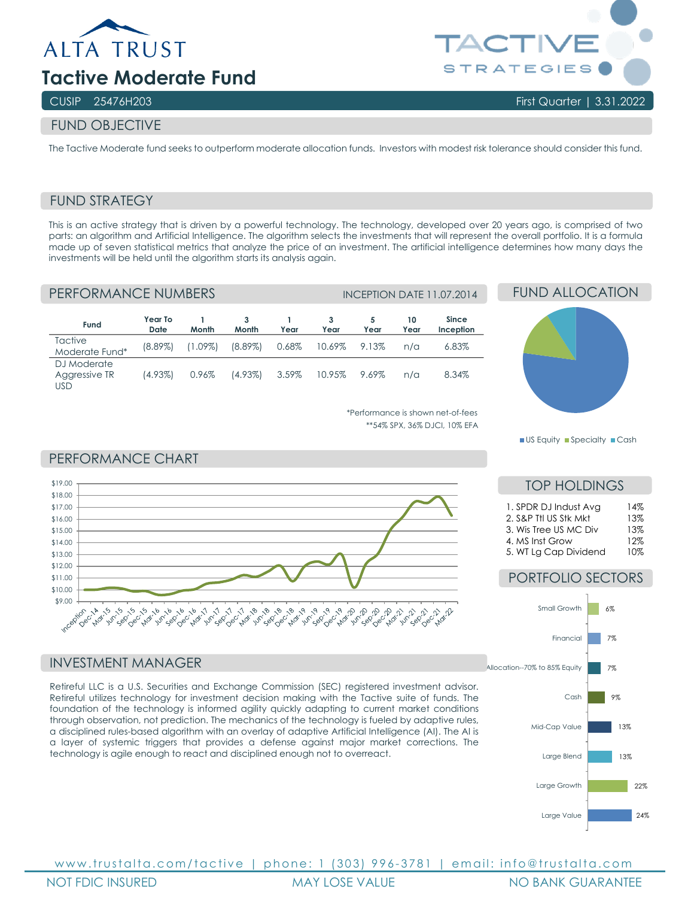

# **Tactive Moderate Fund**

## CUSIP 25476H203 First Quarter | 3.31.2022

## FUND OBJECTIVE

The Tactive Moderate fund seeks to outperform moderate allocation funds. Investors with modest risk tolerance should consider this fund.

## FUND STRATEGY

This is an active strategy that is driven by a powerful technology. The technology, developed over 20 years ago, is comprised of two parts: an algorithm and Artificial Intelligence. The algorithm selects the investments that will represent the overall portfolio. It is a formula made up of seven statistical metrics that analyze the price of an investment. The artificial intelligence determines how many days the investments will be held until the algorithm starts its analysis again.

| PERFORMANCE NUMBERS                 |                        |            |            |          |        | <b>INCEPTION DATE 11.07.2014</b> |            |                    |  |
|-------------------------------------|------------------------|------------|------------|----------|--------|----------------------------------|------------|--------------------|--|
| Fund                                | Year To<br><b>Date</b> | Month      | 3<br>Month | Year     | Year   | 5<br>Year                        | 10<br>Year | Since<br>Inception |  |
| <b>Tactive</b><br>Moderate Fund*    | $(8.89\%)$             | $(1.09\%)$ | $(8.89\%)$ | 0.68%    | 10.69% | 9.13%                            | n/a        | 6.83%              |  |
| DJ Moderate<br>Aggressive TR<br>usd | (4.93%)                | 0.96%      | $(4.93\%)$ | $3.59\%$ | 10.95% | 9.69%                            | $n/\alpha$ | 8.34%              |  |

# FUND ALLOCATION



\*Performance is shown net-of-fees \*\*54% SPX, 36% DJCI, 10% EFA

#### PERFORMANCE CHART



#### INVESTMENT MANAGER

Retireful LLC is a U.S. Securities and Exchange Commission (SEC) registered investment advisor. Retireful utilizes technology for investment decision making with the Tactive suite of funds. The foundation of the technology is informed agility quickly adapting to current market conditions through observation, not prediction. The mechanics of the technology is fueled by adaptive rules, a disciplined rules-based algorithm with an overlay of adaptive Artificial Intelligence (AI). The AI is a layer of systemic triggers that provides a defense against major market corrections. The technology is agile enough to react and disciplined enough not to overreact.



## TOP HOLDINGS

| 1. SPDR DJ Indust Avg<br>2. S&P Ttl US Stk Mkt | 14%<br>13% |
|------------------------------------------------|------------|
|                                                |            |
| 3. Wis Tree US MC Div                          | 13%        |
| 4. MS Inst Grow                                | 12%        |
| 5. WT Lg Cap Dividend                          | 10%        |

## PORTFOLIO SECTORS



www.trustalta.com/ tactive | phone: 1 ( 303 ) 996 - 378 1 | email: info@trustalta.com NOT FDIC INSURED MAY LOSE VALUE NO BANK GUARANTEE